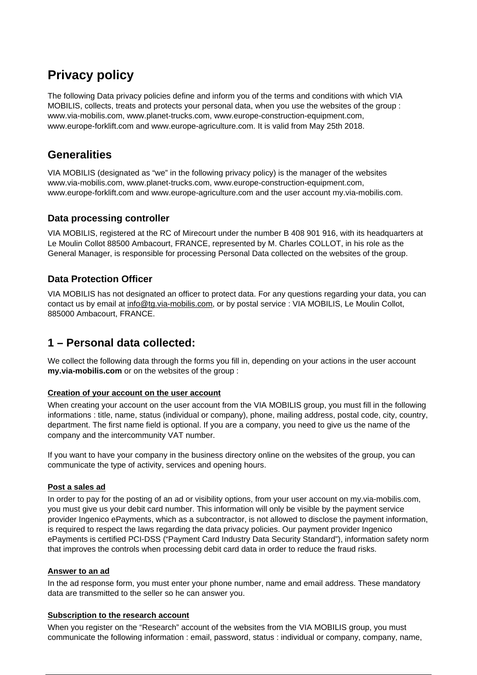# **Privacy policy**

The following Data privacy policies define and inform you of the terms and conditions with which VIA MOBILIS, collects, treats and protects your personal data, when you use the websites of the group : www.via-mobilis.com, www.planet-trucks.com, www.europe-construction-equipment.com, www.europe-forklift.com and www.europe-agriculture.com. It is valid from May 25th 2018.

## **Generalities**

VIA MOBILIS (designated as "we" in the following privacy policy) is the manager of the websites www.via-mobilis.com, www.planet-trucks.com, www.europe-construction-equipment.com, www.europe-forklift.com and www.europe-agriculture.com and the user account my.via-mobilis.com.

### **Data processing controller**

VIA MOBILIS, registered at the RC of Mirecourt under the number B 408 901 916, with its headquarters at Le Moulin Collot 88500 Ambacourt, FRANCE, represented by M. Charles COLLOT, in his role as the General Manager, is responsible for processing Personal Data collected on the websites of the group.

### **Data Protection Officer**

VIA MOBILIS has not designated an officer to protect data. For any questions regarding your data, you can contact us by email at info@tg.via-mobilis.com, or by postal service : VIA MOBILIS, Le Moulin Collot, 885000 Ambacourt, FRANCE.

## **1 – Personal data collected:**

We collect the following data through the forms you fill in, depending on your actions in the user account **my.via-mobilis.com** or on the websites of the group :

### **Creation of your account on the user account**

When creating your account on the user account from the VIA MOBILIS group, you must fill in the following informations : title, name, status (individual or company), phone, mailing address, postal code, city, country, department. The first name field is optional. If you are a company, you need to give us the name of the company and the intercommunity VAT number.

If you want to have your company in the business directory online on the websites of the group, you can communicate the type of activity, services and opening hours.

### **Post a sales ad**

In order to pay for the posting of an ad or visibility options, from your user account on my.via-mobilis.com, you must give us your debit card number. This information will only be visible by the payment service provider Ingenico ePayments, which as a subcontractor, is not allowed to disclose the payment information, is required to respect the laws regarding the data privacy policies. Our payment provider Ingenico ePayments is certified PCI-DSS ("Payment Card Industry Data Security Standard"), information safety norm that improves the controls when processing debit card data in order to reduce the fraud risks.

### **Answer to an ad**

In the ad response form, you must enter your phone number, name and email address. These mandatory data are transmitted to the seller so he can answer you.

### **Subscription to the research account**

When you register on the "Research" account of the websites from the VIA MOBILIS group, you must communicate the following information : email, password, status : individual or company, company, name,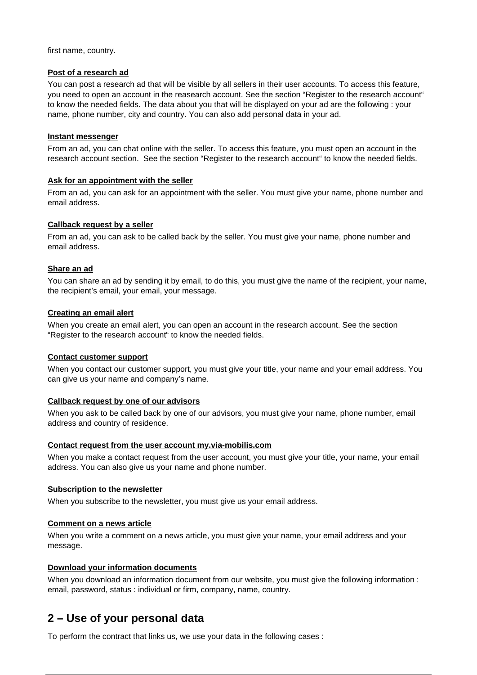first name, country.

#### **Post of a research ad**

You can post a research ad that will be visible by all sellers in their user accounts. To access this feature, you need to open an account in the reasearch account. See the section "Register to the research account" to know the needed fields. The data about you that will be displayed on your ad are the following : your name, phone number, city and country. You can also add personal data in your ad.

### **Instant messenger**

From an ad, you can chat online with the seller. To access this feature, you must open an account in the research account section. See the section "Register to the research account" to know the needed fields.

### **Ask for an appointment with the seller**

From an ad, you can ask for an appointment with the seller. You must give your name, phone number and email address.

### **Callback request by a seller**

From an ad, you can ask to be called back by the seller. You must give your name, phone number and email address.

### **Share an ad**

You can share an ad by sending it by email, to do this, you must give the name of the recipient, your name, the recipient's email, your email, your message.

### **Creating an email alert**

When you create an email alert, you can open an account in the research account. See the section "Register to the research account" to know the needed fields.

### **Contact customer support**

When you contact our customer support, you must give your title, your name and your email address. You can give us your name and company's name.

### **Callback request by one of our advisors**

When you ask to be called back by one of our advisors, you must give your name, phone number, email address and country of residence.

### **Contact request from the user account my.via-mobilis.com**

When you make a contact request from the user account, you must give your title, your name, your email address. You can also give us your name and phone number.

#### **Subscription to the newsletter**

When you subscribe to the newsletter, you must give us your email address.

### **Comment on a news article**

When you write a comment on a news article, you must give your name, your email address and your message.

### **Download your information documents**

When you download an information document from our website, you must give the following information : email, password, status : individual or firm, company, name, country.

## **2 – Use of your personal data**

To perform the contract that links us, we use your data in the following cases :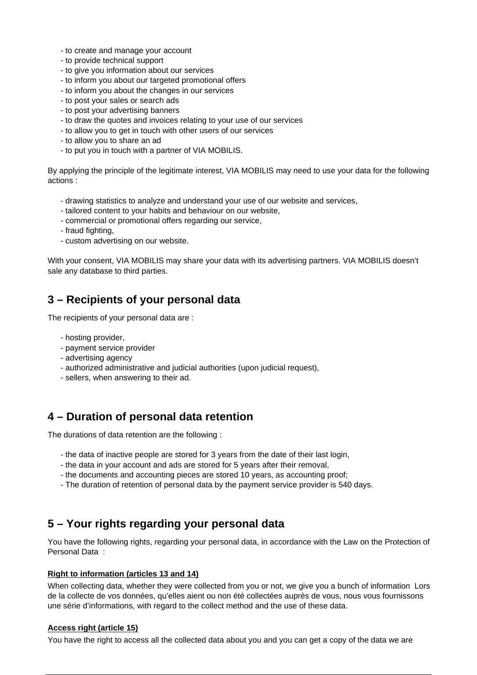- to create and manage your account
- to provide technical support
- to give you information about our services
- to inform you about our targeted promotional offers
- to inform you about the changes in our services
- to post your sales or search ads
- to post your advertising banners
- to draw the quotes and invoices relating to your use of our services
- to allow you to get in touch with other users of our services
- to allow you to share an ad
- to put you in touch with a partner of VIA MOBILIS.

By applying the principle of the legitimate interest, VIA MOBILIS may need to use your data for the following actions :

- drawing statistics to analyze and understand your use of our website and services,
- tailored content to your habits and behaviour on our website,
- commercial or promotional offers regarding our service,
- fraud fighting,
- custom advertising on our website.

With your consent, VIA MOBILIS may share your data with its advertising partners. VIA MOBILIS doesn't sale any database to third parties.

### **3 – Recipients of your personal data**

The recipients of your personal data are :

- hosting provider,
- payment service provider
- advertising agency
- authorized administrative and judicial authorities (upon judicial request),
- sellers, when answering to their ad.

### **4 – Duration of personal data retention**

The durations of data retention are the following :

- the data of inactive people are stored for 3 years from the date of their last login,
- the data in your account and ads are stored for 5 years after their removal,
- the documents and accounting pieces are stored 10 years, as accounting proof;
- The duration of retention of personal data by the payment service provider is 540 days.

### **5 – Your rights regarding your personal data**

You have the following rights, regarding your personal data, in accordance with the Law on the Protection of Personal Data :

### **Right to information (articles 13 and 14)**

When collecting data, whether they were collected from you or not, we give you a bunch of information Lors de la collecte de vos données, qu'elles aient ou non été collectées auprès de vous, nous vous fournissons une série d'informations, with regard to the collect method and the use of these data.

### **Access right (article 15)**

You have the right to access all the collected data about you and you can get a copy of the data we are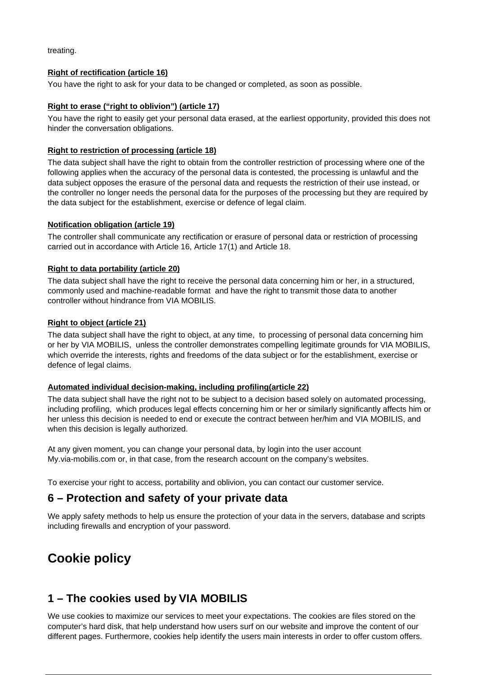treating.

### **Right of rectification (article 16)**

You have the right to ask for your data to be changed or completed, as soon as possible.

### **Right to erase ("right to oblivion") (article 17)**

You have the right to easily get your personal data erased, at the earliest opportunity, provided this does not hinder the conversation obligations.

### **Right to restriction of processing (article 18)**

The data subject shall have the right to obtain from the controller restriction of processing where one of the following applies when the accuracy of the personal data is contested, the processing is unlawful and the data subject opposes the erasure of the personal data and requests the restriction of their use instead, or the controller no longer needs the personal data for the purposes of the processing but they are required by the data subject for the establishment, exercise or defence of legal claim.

### **Notification obligation (article 19)**

The controller shall communicate any rectification or erasure of personal data or restriction of processing carried out in accordance with Article 16, Article 17(1) and Article 18.

### **Right to data portability (article 20)**

The data subject shall have the right to receive the personal data concerning him or her, in a structured, commonly used and machine-readable format and have the right to transmit those data to another controller without hindrance from VIA MOBILIS.

### **Right to object (article 21)**

The data subject shall have the right to object, at any time, to processing of personal data concerning him or her by VIA MOBILIS, unless the controller demonstrates compelling legitimate grounds for VIA MOBILIS, which override the interests, rights and freedoms of the data subject or for the establishment, exercise or defence of legal claims.

#### **Automated individual decision-making, including profiling(article 22)**

The data subject shall have the right not to be subject to a decision based solely on automated processing, including profiling, which produces legal effects concerning him or her or similarly significantly affects him or her unless this decision is needed to end or execute the contract between her/him and VIA MOBILIS, and when this decision is legally authorized.

At any given moment, you can change your personal data, by login into the user account My.via-mobilis.com or, in that case, from the research account on the company's websites.

To exercise your right to access, portability and oblivion, you can contact our customer service.

### **6 – Protection and safety of your private data**

We apply safety methods to help us ensure the protection of your data in the servers, database and scripts including firewalls and encryption of your password.

# **Cookie policy**

### **1 – The cookies used by VIA MOBILIS**

We use cookies to maximize our services to meet your expectations. The cookies are files stored on the computer's hard disk, that help understand how users surf on our website and improve the content of our different pages. Furthermore, cookies help identify the users main interests in order to offer custom offers.